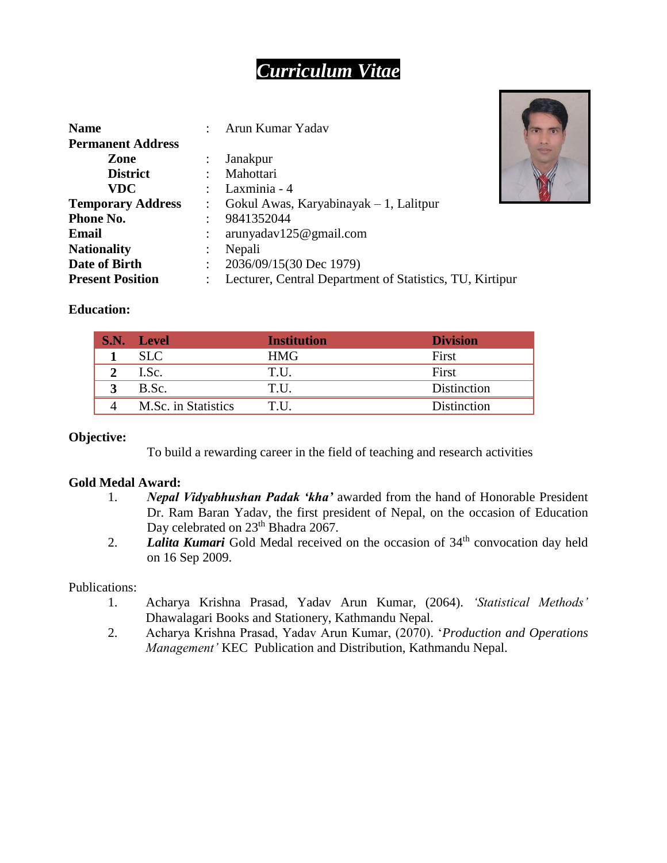# *Curriculum Vitae*

| <b>Name</b>              |                      | Arun Kumar Yadav                                         |  |
|--------------------------|----------------------|----------------------------------------------------------|--|
| <b>Permanent Address</b> |                      |                                                          |  |
| Zone                     |                      | Janakpur                                                 |  |
| <b>District</b>          | $\ddot{\phantom{0}}$ | Mahottari                                                |  |
| <b>VDC</b>               |                      | Laxminia - 4                                             |  |
| <b>Temporary Address</b> |                      | Gokul Awas, Karyabinayak $-1$ , Lalitpur                 |  |
| Phone No.                |                      | 9841352044                                               |  |
| Email                    |                      | arunyadav125@gmail.com                                   |  |
| <b>Nationality</b>       | $\ddot{\phantom{a}}$ | Nepali                                                   |  |
| Date of Birth            | $\ddot{\phantom{0}}$ | 2036/09/15(30 Dec 1979)                                  |  |
| <b>Present Position</b>  |                      | Lecturer, Central Department of Statistics, TU, Kirtipur |  |



### **Education:**

| S.N. Level          | <b>Institution</b> | <b>Division</b> |
|---------------------|--------------------|-----------------|
| <b>SLC</b>          | HMG                | First           |
| I.Sc.               | T.U.               | First           |
| B.Sc.               | T.U.               | Distinction     |
| M.Sc. in Statistics | T.U.               | Distinction     |

### **Objective:**

To build a rewarding career in the field of teaching and research activities

### **Gold Medal Award:**

- 1. *Nepal Vidyabhushan Padak 'kha'* awarded from the hand of Honorable President Dr. Ram Baran Yadav, the first president of Nepal, on the occasion of Education Day celebrated on 23<sup>th</sup> Bhadra 2067.
- 2. **Lalita Kumari** Gold Medal received on the occasion of 34<sup>th</sup> convocation day held on 16 Sep 2009.

#### Publications:

- 1. Acharya Krishna Prasad, Yadav Arun Kumar, (2064). *'Statistical Methods'* Dhawalagari Books and Stationery, Kathmandu Nepal.
- 2. Acharya Krishna Prasad, Yadav Arun Kumar, (2070). '*Production and Operations Management'* KEC Publication and Distribution, Kathmandu Nepal.